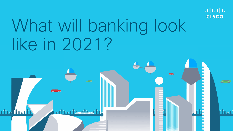

# What will banking look like in 2021?

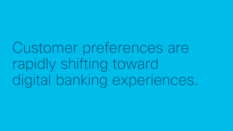Customer preferences are rapidly shifting toward digital banking experiences.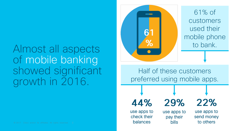Almost all aspects of mobile banking showed significant growth in 2016.





Half of these customers preferred using mobile apps.

44% use apps to

check their

balances

29% use apps to pay their

bills

use apps to send money to others

22%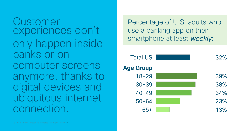Customer experiences don't only happen inside banks or on computer screens anymore, thanks to digital devices and ubiquitous internet connection.

Percentage of U.S. adults who use a banking app on their smartphone at least weekly:

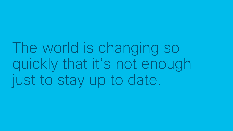The world is changing so quickly that it's not enough just to stay up to date.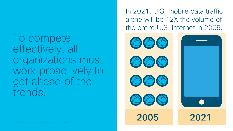#### To compete effectively, all organizations must work proactively to get ahead of the trends.

In 2021, U.S. mobile data traffic alone will be 12X the volume of the entire U.S. internet in 2005.

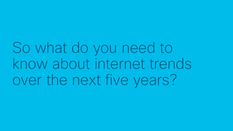So what do you need to know about internet trends over the next five years?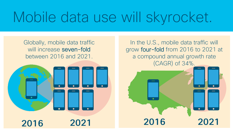# Mobile data use will skyrocket.

Globally, mobile data traffic will increase seven-fold between 2016 and 2021.



In the U.S., mobile data traffic will grow four-fold from 2016 to 2021 at a compound annual growth rate (CAGR) of 34%.

2021

2016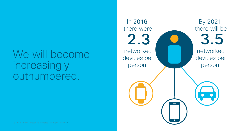#### We will become increasingly outnumbered.

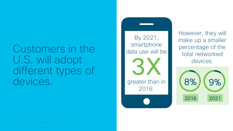Customers in the U.S. will adopt different types of devices.

By 2021, smartphone data use will be greater than in 2016.

However, they will make up a smaller percentage of the total networked devices.

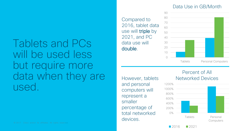#### Tablets and PCs will be used less but require more data when they are used.

Compared to 2016, tablet data use will triple by 2021, and PC data use will double.





However, tablets and personal computers will represent a smaller percentage of total networked devices.

#### Percent of All Networked Devices



 $2016$  2021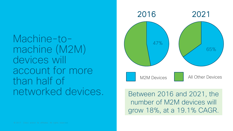#### Machine-tomachine (M2M) devices will account for more than half of networked devices.



#### Between 2016 and 2021, the number of M2M devices will grow 18%, at a 19.1% CAGR.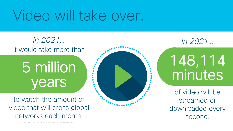# Video will take over.

It would take more than In 2021… In 2021…

# 5 million years

to watch the amount of video that will cross global networks each month.



148,114 minutes

of video will be streamed or downloaded every second.

© 2017 Cisco and/or its affiliates. All rights reserved.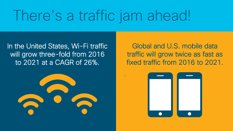# There's a traffic jam ahead!

,

In the United States, Wi-Fi traffic will grow three-fold from 2016 to 2021 at a CAGR of 26%.



Global and U.S. mobile data traffic will grow twice as fast as fixed traffic from 2016 to 2021.

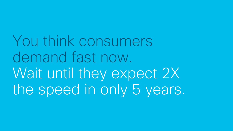You think consumers demand fast now. Wait until they expect 2X the speed in only 5 years.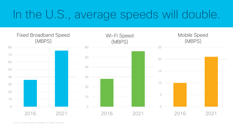### In the U.S., average speeds will double.

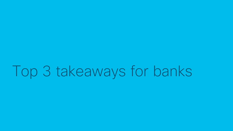# Top 3 takeaways for banks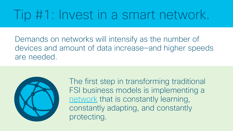### Tip #1: Invest in a smart network.

Demands on networks will intensify as the number of devices and amount of data increase—and higher speeds are needed.



The first step in transforming traditional FSI business models is implementing a [network](http://www.cisco.com/c/en/us/solutions/enterprise-networks/dna-financial-services.html) that is constantly learning, constantly adapting, and constantly protecting.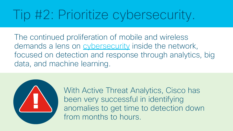# Tip #2: Prioritize cybersecurity.

The continued proliferation of mobile and wireless demands a lens on [cybersecurity](http://www.cisco.com/c/en/us/products/security/index.html) inside the network, focused on detection and response through analytics, big data, and machine learning.



With Active Threat Analytics, Cisco has been very successful in identifying anomalies to get time to detection down from months to hours.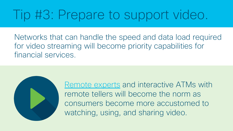## Tip #3: Prepare to support video.

Networks that can handle the speed and data load required for video streaming will become priority capabilities for financial services.

> [Remote experts](http://www.cisco.com/c/en/us/solutions/industries/financial-services/retail-banking/remote-expert.html) and interactive ATMs with remote tellers will become the norm as consumers become more accustomed to watching, using, and sharing video.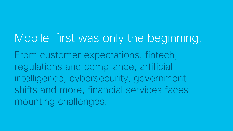### Mobile-first was only the beginning!

From customer expectations, fintech, regulations and compliance, artificial intelligence, cybersecurity, government shifts and more, financial services faces mounting challenges.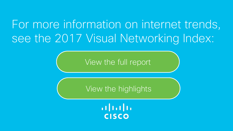### For more information on internet trends, see the 2017 Visual Networking Index:

[View the full report](http://www.cisco.com/c/en/us/solutions/collateral/service-provider/visual-networking-index-vni/complete-white-paper-c11-481360.html)

[View the highlights](http://www.cisco.com/c/m/en_us/solutions/service-provider/vni-forecast-highlights.html)

 $\frac{1}{2}$ **CISCO**